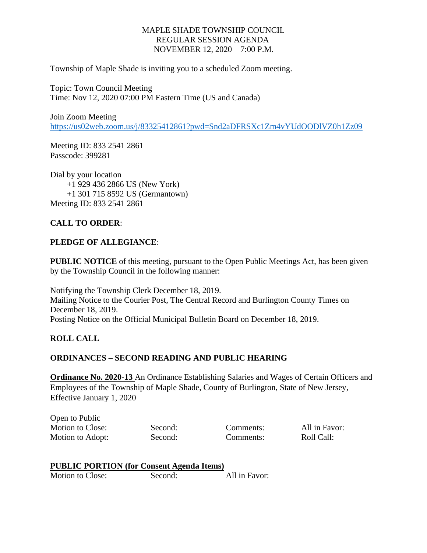## MAPLE SHADE TOWNSHIP COUNCIL REGULAR SESSION AGENDA NOVEMBER 12, 2020 – 7:00 P.M.

Township of Maple Shade is inviting you to a scheduled Zoom meeting.

Topic: Town Council Meeting Time: Nov 12, 2020 07:00 PM Eastern Time (US and Canada)

Join Zoom Meeting <https://us02web.zoom.us/j/83325412861?pwd=Snd2aDFRSXc1Zm4vYUdOODlVZ0h1Zz09>

Meeting ID: 833 2541 2861 Passcode: 399281

Dial by your location +1 929 436 2866 US (New York) +1 301 715 8592 US (Germantown) Meeting ID: 833 2541 2861

# **CALL TO ORDER**:

#### **PLEDGE OF ALLEGIANCE**:

**PUBLIC NOTICE** of this meeting, pursuant to the Open Public Meetings Act, has been given by the Township Council in the following manner:

Notifying the Township Clerk December 18, 2019. Mailing Notice to the Courier Post, The Central Record and Burlington County Times on December 18, 2019. Posting Notice on the Official Municipal Bulletin Board on December 18, 2019.

### **ROLL CALL**

#### **ORDINANCES – SECOND READING AND PUBLIC HEARING**

**Ordinance No. 2020-13** An Ordinance Establishing Salaries and Wages of Certain Officers and Employees of the Township of Maple Shade, County of Burlington, State of New Jersey, Effective January 1, 2020

Open to Public Motion to Close: Second: Comments: All in Favor: Motion to Adopt: Second: Comments: Roll Call:

| <b>PUBLIC PORTION (for Consent Agenda Items)</b> |  |
|--------------------------------------------------|--|
|                                                  |  |

Motion to Close: Second: All in Favor: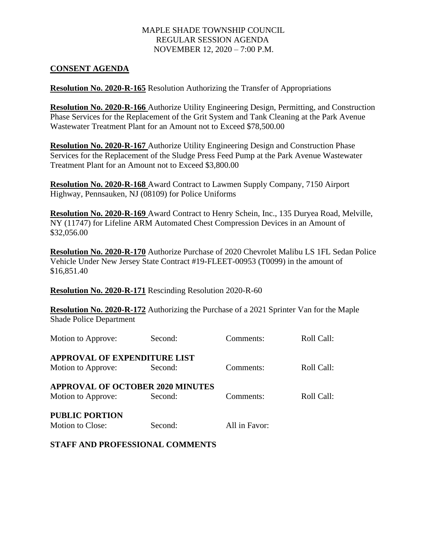## MAPLE SHADE TOWNSHIP COUNCIL REGULAR SESSION AGENDA NOVEMBER 12, 2020 – 7:00 P.M.

#### **CONSENT AGENDA**

**Resolution No. 2020-R-165** Resolution Authorizing the Transfer of Appropriations

**Resolution No. 2020-R-166** Authorize Utility Engineering Design, Permitting, and Construction Phase Services for the Replacement of the Grit System and Tank Cleaning at the Park Avenue Wastewater Treatment Plant for an Amount not to Exceed \$78,500.00

**Resolution No. 2020-R-167** Authorize Utility Engineering Design and Construction Phase Services for the Replacement of the Sludge Press Feed Pump at the Park Avenue Wastewater Treatment Plant for an Amount not to Exceed \$3,800.00

**Resolution No. 2020-R-168** Award Contract to Lawmen Supply Company, 7150 Airport Highway, Pennsauken, NJ (08109) for Police Uniforms

**Resolution No. 2020-R-169** Award Contract to Henry Schein, Inc., 135 Duryea Road, Melville, NY (11747) for Lifeline ARM Automated Chest Compression Devices in an Amount of \$32,056.00

**Resolution No. 2020-R-170** Authorize Purchase of 2020 Chevrolet Malibu LS 1FL Sedan Police Vehicle Under New Jersey State Contract #19-FLEET-00953 (T0099) in the amount of \$16,851.40

**Resolution No. 2020-R-171** Rescinding Resolution 2020-R-60

**Resolution No. 2020-R-172** Authorizing the Purchase of a 2021 Sprinter Van for the Maple Shade Police Department

| Motion to Approve:                      | Second: | Comments:     | Roll Call: |  |
|-----------------------------------------|---------|---------------|------------|--|
| <b>APPROVAL OF EXPENDITURE LIST</b>     |         |               |            |  |
| Motion to Approve:                      | Second: | Comments:     | Roll Call: |  |
| <b>APPROVAL OF OCTOBER 2020 MINUTES</b> |         |               |            |  |
| Motion to Approve:                      | Second: | Comments:     | Roll Call: |  |
| <b>PUBLIC PORTION</b>                   |         |               |            |  |
| Motion to Close:                        | Second: | All in Favor: |            |  |

#### **STAFF AND PROFESSIONAL COMMENTS**